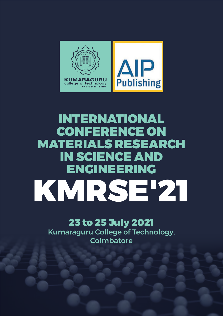

## INTERNATIONAL CONFERENCE ON MATERIALS RESEARCH IN SCIENCE AND ENGINEERING KMRSE'21

## 23 to 25 July 2021

Kumaraguru College of Technology, **Coimbatore**